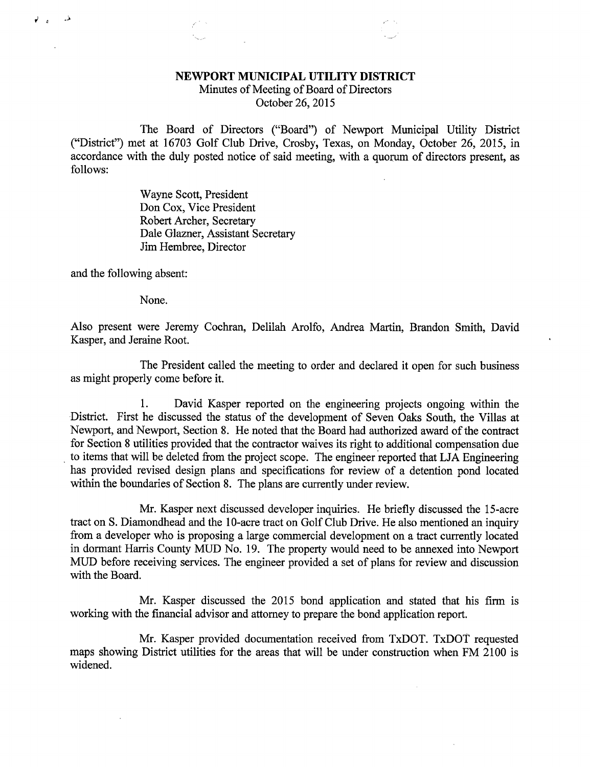## NEWPORT MUNICIPAL UTILITY DISTRICT

Minutes of Meeting of Board of Directors October 26, 2015

The Board of Directors ("Board") of Newport Municipal Utility District ("District") met at 16703 Golf Club Drive, Crosby, Texas, on Monday, October 26, 2015, in accordance with the duly posted notice of said meeting, with a quorum of directors present, as follows:

> Wayne Scott, President Don Cox, Vice President Robert Archer, Secretary Dale Glazner, Assistant Secretary Jim Hembree, Director

and the following absent:

None.

Also present were Jeremy Cochran, Delilah Arolfo, Andrea Martin, Brandon Smith, David Kasper, and Jeraine Root.

The President called the meeting to order and declared it open for such business as might properly come before it.

1. David Kasper reported on the engineering projects ongoing within the District. First he discussed the status of the development of Seven Oaks South, the Villas at Newport, and Newport, Section 8. He noted that the Board had authorized award of the contract for Section 8 utilities provided that the contractor waives its right to additional compensation due to items that will be deleted from the project scope. The engineer reported that LJA Engineering has provided revised design plans and specifications for review of a detention pond located within the boundaries of Section 8. The plans are currently under review.

Mr. Kasper next discussed developer inquiries. He briefly discussed the 15-acre tract on S. Diamondhead and the 10-acre tract on Golf Club Drive. He also mentioned an inquiry from a developer who is proposing a large commercial development on a tract currently located in dormant Harris County MUD No. 19. The property would need to be annexed into Newport MUD before receiving services. The engineer provided a set of plans for review and discussion with the Board.

Mr. Kasper discussed the 2015 bond application and stated that his firm is working with the financial advisor and attorney to prepare the bond application report.

Mr. Kasper provided documentation received from TxDOT. TxDOT requested maps showing District utilities for the areas that will be under construction when FM 2100 is widened.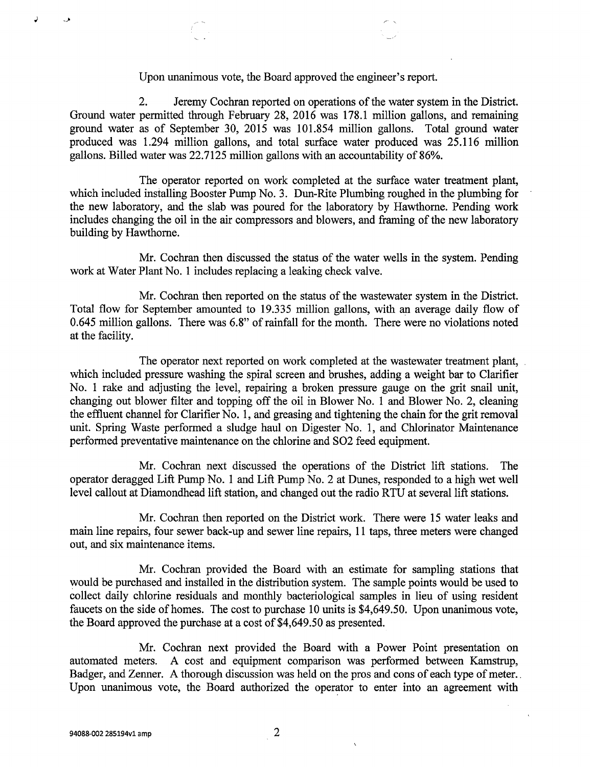## Upon unanimous vote, the Board approved the engineer's report.

2. Jeremy Cochran reported on operations of the water system in the District. Ground water permitted through February 28, 2016 was 178.1 million gallons, and remaining ground water as of September 30, 2015 was 101.854 million gallons. Total ground water produced was 1.294 million gallons, and total surface water produced was 25.116 million gallons. Billed water was 22.7125 million gallons with an accountability of 86%.

The operator reported on work completed at the surface water treatment plant, which included installing Booster Pump No. 3. Dun-Rite Plumbing roughed in the plumbing for the new laboratory, and the slab was poured for the laboratory by Hawthorne. Pending work includes changing the oil in the air compressors and blowers, and framing of the new laboratory building by Hawthorne.

Mr. Cochran then discussed the status of the water wells in the system. Pending work at Water Plant No. 1 includes replacing a leaking check valve.

Mr. Cochran then reported on the status of the wastewater system in the District. Total flow for September amounted to 19.335 million gallons, with an average daily flow of 0.645 million gallons. There was 6.8" of rainfall for the month. There were no violations noted at the facility.

The operator next reported on work completed at the wastewater treatment plant, which included pressure washing the spiral screen and brushes, adding a weight bar to Clarifier No. 1 rake and adjusting the level, repairing a broken pressure gauge on the grit snail unit, changing out blower filter and topping off the oil in Blower No. 1 and Blower No. 2, cleaning the effluent channel for Clarifier No. 1, and greasing and tightening the chain for the grit removal unit. Spring Waste performed a sludge haul on Digester No. 1, and Chlorinator Maintenance performed preventative maintenance on the chlorine and SO2 feed equipment.

Mr. Cochran next discussed the operations of the District lift stations. The operator deragged Lift Pump No. 1 and Lift Pump No. 2 at Dunes, responded to a high wet well level callout at Diamondhead lift station, and changed out the radio RTU at several lift stations.

Mr. Cochran then reported on the District work. There were 15 water leaks and main line repairs, four sewer back-up and sewer line repairs, 11 taps, three meters were changed out, and six maintenance items.

Mr. Cochran provided the Board with an estimate for sampling stations that would be purchased and installed in the distribution system. The sample points would be used to collect daily chlorine residuals and monthly bacteriological samples in lieu of using resident faucets on the side of homes. The cost to purchase 10 units is \$4,649.50. Upon unanimous vote, the Board approved the purchase at a cost of \$4,649.50 as presented.

Mr. Cochran next provided the Board with a Power Point presentation on automated meters. A cost and equipment comparison was performed between Kamstrup, Badger, and Zenner. A thorough discussion was held on the pros and cons of each type of meter. Upon unanimous vote, the Board authorized the operator to enter into an agreement with